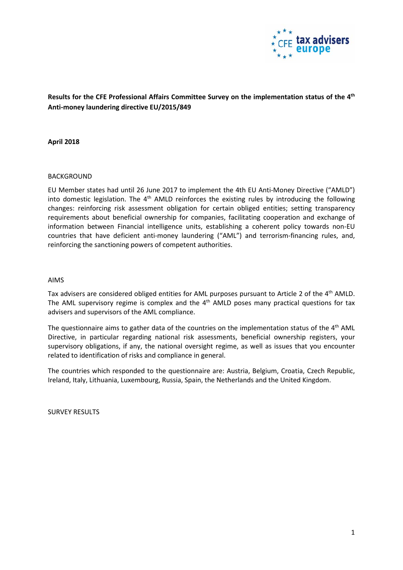

**Results for the CFE Professional Affairs Committee Survey on the implementation status of the 4th Anti-money laundering directive EU/2015/849**

**April 2018** 

#### BACKGROUND

EU Member states had until 26 June 2017 to implement the 4th EU Anti-Money Directive ("AMLD") into domestic legislation. The 4<sup>th</sup> AMLD reinforces the existing rules by introducing the following changes: reinforcing risk assessment obligation for certain obliged entities; setting transparency requirements about beneficial ownership for companies, facilitating cooperation and exchange of information between Financial intelligence units, establishing a coherent policy towards non-EU countries that have deficient anti-money laundering ("AML") and terrorism-financing rules, and, reinforcing the sanctioning powers of competent authorities.

#### AIMS

Tax advisers are considered obliged entities for AML purposes pursuant to Article 2 of the 4th AMLD. The AML supervisory regime is complex and the  $4<sup>th</sup>$  AMLD poses many practical questions for tax advisers and supervisors of the AML compliance.

The questionnaire aims to gather data of the countries on the implementation status of the  $4<sup>th</sup>$  AML Directive, in particular regarding national risk assessments, beneficial ownership registers, your supervisory obligations, if any, the national oversight regime, as well as issues that you encounter related to identification of risks and compliance in general.

The countries which responded to the questionnaire are: Austria, Belgium, Croatia, Czech Republic, Ireland, Italy, Lithuania, Luxembourg, Russia, Spain, the Netherlands and the United Kingdom.

SURVEY RESULTS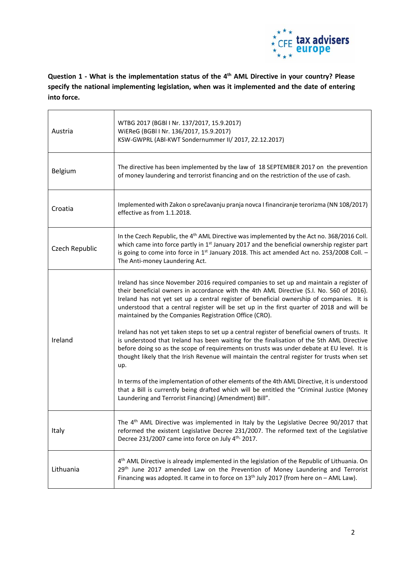

**Question 1 - What is the implementation status of the 4th AML Directive in your country? Please specify the national implementing legislation, when was it implemented and the date of entering into force.**

| Austria        | WTBG 2017 (BGBI I Nr. 137/2017, 15.9.2017)<br>WiEReG (BGBI I Nr. 136/2017, 15.9.2017)<br>KSW-GWPRL (ABI-KWT Sondernummer II/ 2017, 22.12.2017)                                                                                                                                                                                                                                                                                           |
|----------------|------------------------------------------------------------------------------------------------------------------------------------------------------------------------------------------------------------------------------------------------------------------------------------------------------------------------------------------------------------------------------------------------------------------------------------------|
| Belgium        | The directive has been implemented by the law of 18 SEPTEMBER 2017 on the prevention<br>of money laundering and terrorist financing and on the restriction of the use of cash.                                                                                                                                                                                                                                                           |
| Croatia        | Implemented with Zakon o sprečavanju pranja novca I financiranje terorizma (NN 108/2017)<br>effective as from 1.1.2018.                                                                                                                                                                                                                                                                                                                  |
| Czech Republic | In the Czech Republic, the 4 <sup>th</sup> AML Directive was implemented by the Act no. 368/2016 Coll.<br>which came into force partly in 1 <sup>st</sup> January 2017 and the beneficial ownership register part<br>is going to come into force in 1 <sup>st</sup> January 2018. This act amended Act no. 253/2008 Coll. -<br>The Anti-money Laundering Act.                                                                            |
| Ireland        | Ireland has since November 2016 required companies to set up and maintain a register of<br>their beneficial owners in accordance with the 4th AML Directive (S.I. No. 560 of 2016).<br>Ireland has not yet set up a central register of beneficial ownership of companies. It is<br>understood that a central register will be set up in the first quarter of 2018 and will be<br>maintained by the Companies Registration Office (CRO). |
|                | Ireland has not yet taken steps to set up a central register of beneficial owners of trusts. It<br>is understood that Ireland has been waiting for the finalisation of the 5th AML Directive<br>before doing so as the scope of requirements on trusts was under debate at EU level. It is<br>thought likely that the Irish Revenue will maintain the central register for trusts when set<br>up.                                        |
|                | In terms of the implementation of other elements of the 4th AML Directive, it is understood<br>that a Bill is currently being drafted which will be entitled the "Criminal Justice (Money<br>Laundering and Terrorist Financing) (Amendment) Bill".                                                                                                                                                                                      |
| Italy          | The 4 <sup>th</sup> AML Directive was implemented in Italy by the Legislative Decree 90/2017 that<br>reformed the existent Legislative Decree 231/2007. The reformed text of the Legislative<br>Decree 231/2007 came into force on July 4 <sup>th,</sup> 2017.                                                                                                                                                                           |
| Lithuania      | 4 <sup>th</sup> AML Directive is already implemented in the legislation of the Republic of Lithuania. On<br>29 <sup>th</sup> June 2017 amended Law on the Prevention of Money Laundering and Terrorist<br>Financing was adopted. It came in to force on $13th$ July 2017 (from here on $-$ AML Law).                                                                                                                                     |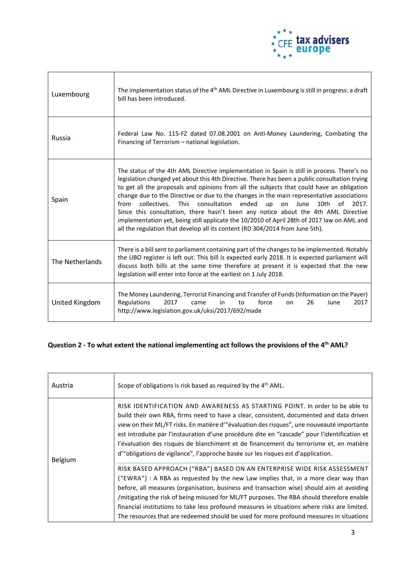

| Luxembourg      | The implementation status of the 4 <sup>th</sup> AML Directive in Luxembourg is still in progress: a draft<br>bill has been introduced.                                                                                                                                                                                                                                                                                                                                                                                                                                                                                                                                                                                                                           |
|-----------------|-------------------------------------------------------------------------------------------------------------------------------------------------------------------------------------------------------------------------------------------------------------------------------------------------------------------------------------------------------------------------------------------------------------------------------------------------------------------------------------------------------------------------------------------------------------------------------------------------------------------------------------------------------------------------------------------------------------------------------------------------------------------|
| Russia          | Federal Law No. 115-FZ dated 07.08.2001 on Anti-Money Laundering, Combating the<br>Financing of Terrorism - national legislation.                                                                                                                                                                                                                                                                                                                                                                                                                                                                                                                                                                                                                                 |
| Spain           | The status of the 4th AML Directive implementation in Spain is still in process. There's no<br>legislation changed yet about this 4th Directive. There has been a public consultation trying<br>to get all the proposals and opinions from all the subjects that could have an obligation<br>change due to the Directive or due to the changes in the main representative associations<br><b>This</b><br>consultation<br>ended<br>10th<br>from<br>collectives.<br>up<br>on June<br>of<br>2017.<br>Since this consultation, there hasn't been any notice about the 4th AML Directive<br>implementation yet, being still applicate the 10/2010 of April 28th of 2017 law on AML and<br>all the regulation that develop all its content (RD 304/2014 from June 5th). |
| The Netherlands | There is a bill sent to parliament containing part of the changes to be implemented. Notably<br>the UBO register is left out. This bill is expected early 2018. It is expected parliament will<br>discuss both bills at the same time therefore at present it is expected that the new<br>legislation will enter into force at the earliest on 1 July 2018.                                                                                                                                                                                                                                                                                                                                                                                                       |
| United Kingdom  | The Money Laundering, Terrorist Financing and Transfer of Funds (Information on the Payer)<br>Regulations<br>2017<br>2017<br>force<br>26<br>came<br><sub>on</sub><br>June<br>in<br>to<br>http://www.legislation.gov.uk/uksi/2017/692/made                                                                                                                                                                                                                                                                                                                                                                                                                                                                                                                         |

# **Question 2 - To what extent the national implementing act follows the provisions of the 4th AML?**

| Austria | Scope of obligations is risk based as required by the 4 <sup>th</sup> AML.                                                                                                                                                                                                                                                                                                                                                                                                                                                                          |
|---------|-----------------------------------------------------------------------------------------------------------------------------------------------------------------------------------------------------------------------------------------------------------------------------------------------------------------------------------------------------------------------------------------------------------------------------------------------------------------------------------------------------------------------------------------------------|
| Belgium | RISK IDENTIFICATION AND AWARENESS AS STARTING POINT. In order to be able to<br>build their own RBA, firms need to have a clear, consistent, documented and data driven<br>view on their ML/FT risks. En matière d'"évaluation des risques", une nouveauté importante<br>est introduite par l'instauration d'une procédure dite en "cascade" pour l'identification et<br>l'évaluation des risques de blanchiment et de financement du terrorisme et, en matière<br>d'"obligations de vigilance", l'approche basée sur les risques est d'application. |
|         | RISK BASED APPROACH ("RBA") BASED ON AN ENTERPRISE WIDE RISK ASSESSMENT<br>("EWRA") : A RBA as requested by the new Law implies that, in a more clear way than<br>before, all measures (organisation, business and transaction wise) should aim at avoiding<br>/mitigating the risk of being misused for ML/FT purposes. The RBA should therefore enable<br>financial institutions to take less profound measures in situations where risks are limited.<br>The resources that are redeemed should be used for more profound measures in situations |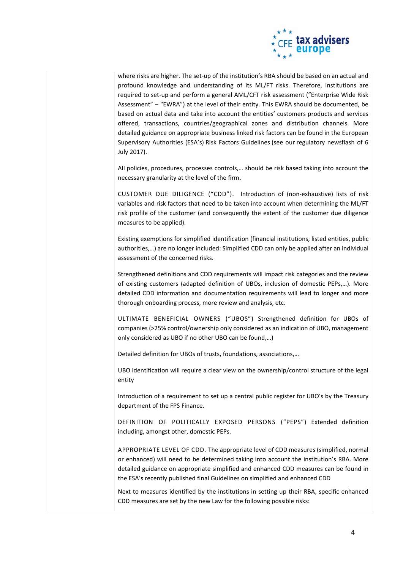

where risks are higher. The set-up of the institution's RBA should be based on an actual and profound knowledge and understanding of its ML/FT risks. Therefore, institutions are required to set-up and perform a general AML/CFT risk assessment ("Enterprise Wide Risk Assessment" – "EWRA") at the level of their entity. This EWRA should be documented, be based on actual data and take into account the entities' customers products and services offered, transactions, countries/geographical zones and distribution channels. More detailed guidance on appropriate business linked risk factors can be found in the European Supervisory Authorities (ESA's) [Risk Factors Guidelines](https://www.eba.europa.eu/-/esas-publish-aml-cft-guidelines) (see our [regulatory newsflash of 6](https://www2.deloitte.com/be/en/pages/financial-services/articles/fsi-reg-newsflash-esa-aml-guidelines.html)  [July 2017\)](https://www2.deloitte.com/be/en/pages/financial-services/articles/fsi-reg-newsflash-esa-aml-guidelines.html).

All policies, procedures, processes controls,… should be risk based taking into account the necessary granularity at the level of the firm.

CUSTOMER DUE DILIGENCE ("CDD"). Introduction of (non-exhaustive) lists of risk variables and risk factors that need to be taken into account when determining the ML/FT risk profile of the customer (and consequently the extent of the customer due diligence measures to be applied).

Existing exemptions for simplified identification (financial institutions, listed entities, public authorities,…) are no longer included: Simplified CDD can only be applied after an individual assessment of the concerned risks.

Strengthened definitions and CDD requirements will impact risk categories and the review of existing customers (adapted definition of UBOs, inclusion of domestic PEPs,…). More detailed CDD information and documentation requirements will lead to longer and more thorough onboarding process, more review and analysis, etc.

ULTIMATE BENEFICIAL OWNERS ("UBOS") Strengthened definition for UBOs of companies (>25% control/ownership only considered as an indication of UBO, management only considered as UBO if no other UBO can be found,…)

Detailed definition for UBOs of trusts, foundations, associations,…

UBO identification will require a clear view on the ownership/control structure of the legal entity

Introduction of a requirement to set up a central public register for UBO's by the Treasury department of the FPS Finance.

DEFINITION OF POLITICALLY EXPOSED PERSONS ("PEPS") Extended definition including, amongst other, domestic PEPs.

APPROPRIATE LEVEL OF CDD. The appropriate level of CDD measures (simplified, normal or enhanced) will need to be determined taking into account the institution's RBA. More detailed guidance on appropriate simplified and enhanced CDD measures can be found in the ESA's recently published final Guidelines on simplified and enhanced CDD

Next to measures identified by the institutions in setting up their RBA, specific enhanced CDD measures are set by the new Law for the following possible risks: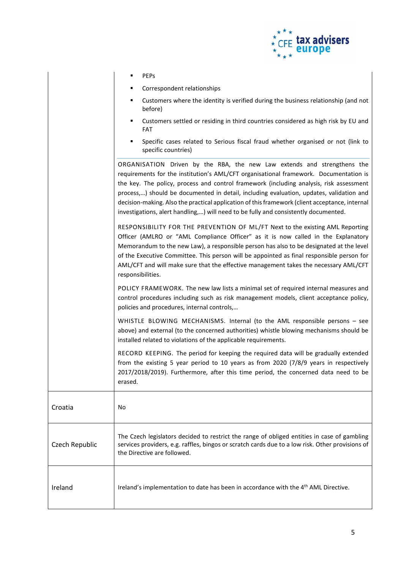

- Correspondent relationships
- Customers where the identity is verified during the business relationship (and not before)
- Customers settled or residing in third countries considered as high risk by EU and FAT
- Specific cases related to Serious fiscal fraud whether organised or not (link to specific countries)

ORGANISATION Driven by the RBA, the new Law extends and strengthens the requirements for the institution's AML/CFT organisational framework. Documentation is the key. The policy, process and control framework (including analysis, risk assessment process,…) should be documented in detail, including evaluation, updates, validation and decision-making. Also the practical application of this framework (client acceptance, internal investigations, alert handling,…) will need to be fully and consistently documented.

RESPONSIBILITY FOR THE PREVENTION OF ML/FT Next to the existing AML Reporting Officer (AMLRO or "AML Compliance Officer" as it is now called in the Explanatory Memorandum to the new Law), a responsible person has also to be designated at the level of the Executive Committee. This person will be appointed as final responsible person for AML/CFT and will make sure that the effective management takes the necessary AML/CFT responsibilities.

POLICY FRAMEWORK. The new law lists a minimal set of required internal measures and control procedures including such as risk management models, client acceptance policy, policies and procedures, internal controls,…

WHISTLE BLOWING MECHANISMS. Internal (to the AML responsible persons – see above) and external (to the concerned authorities) whistle blowing mechanisms should be installed related to violations of the applicable requirements.

RECORD KEEPING. The period for keeping the required data will be gradually extended from the existing 5 year period to 10 years as from 2020 (7/8/9 years in respectively 2017/2018/2019). Furthermore, after this time period, the concerned data need to be erased.

| Croatia        | No.                                                                                                                                                                                                                            |
|----------------|--------------------------------------------------------------------------------------------------------------------------------------------------------------------------------------------------------------------------------|
| Czech Republic | The Czech legislators decided to restrict the range of obliged entities in case of gambling<br>services providers, e.g. raffles, bingos or scratch cards due to a low risk. Other provisions of<br>the Directive are followed. |
| Ireland        | Ireland's implementation to date has been in accordance with the 4 <sup>th</sup> AML Directive.                                                                                                                                |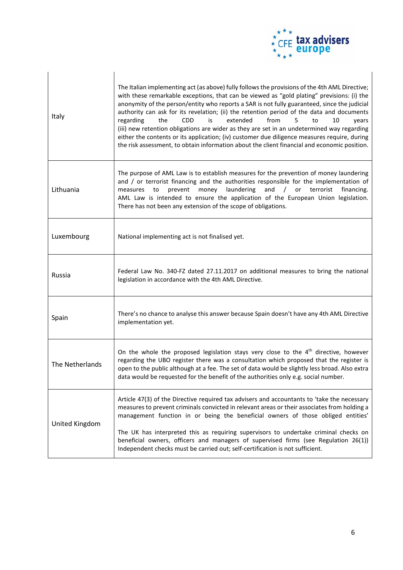

| Italy           | The Italian implementing act (as above) fully follows the provisions of the 4th AML Directive;<br>with these remarkable exceptions, that can be viewed as "gold plating" previsions: (i) the<br>anonymity of the person/entity who reports a SAR is not fully guaranteed, since the judicial<br>authority can ask for its revelation; (ii) the retention period of the data and documents<br>the<br>from<br>regarding<br><b>CDD</b><br>is<br>extended<br>5<br>to<br>10<br>years<br>(iii) new retention obligations are wider as they are set in an undetermined way regarding<br>either the contents or its application; (iv) customer due diligence measures require, during<br>the risk assessment, to obtain information about the client financial and economic position. |
|-----------------|-------------------------------------------------------------------------------------------------------------------------------------------------------------------------------------------------------------------------------------------------------------------------------------------------------------------------------------------------------------------------------------------------------------------------------------------------------------------------------------------------------------------------------------------------------------------------------------------------------------------------------------------------------------------------------------------------------------------------------------------------------------------------------|
| Lithuania       | The purpose of AML Law is to establish measures for the prevention of money laundering<br>and / or terrorist financing and the authorities responsible for the implementation of<br>money laundering<br>and<br>/ or<br>terrorist<br>financing.<br>measures<br>to<br>prevent<br>AML Law is intended to ensure the application of the European Union legislation.<br>There has not been any extension of the scope of obligations.                                                                                                                                                                                                                                                                                                                                              |
| Luxembourg      | National implementing act is not finalised yet.                                                                                                                                                                                                                                                                                                                                                                                                                                                                                                                                                                                                                                                                                                                               |
| Russia          | Federal Law No. 340-FZ dated 27.11.2017 on additional measures to bring the national<br>legislation in accordance with the 4th AML Directive.                                                                                                                                                                                                                                                                                                                                                                                                                                                                                                                                                                                                                                 |
| Spain           | There's no chance to analyse this answer because Spain doesn't have any 4th AML Directive<br>implementation yet.                                                                                                                                                                                                                                                                                                                                                                                                                                                                                                                                                                                                                                                              |
| The Netherlands | On the whole the proposed legislation stays very close to the 4 <sup>th</sup> directive, however<br>regarding the UBO register there was a consultation which proposed that the register is<br>open to the public although at a fee. The set of data would be slightly less broad. Also extra<br>data would be requested for the benefit of the authorities only e.g. social number.                                                                                                                                                                                                                                                                                                                                                                                          |
| United Kingdom  | Article 47(3) of the Directive required tax advisers and accountants to 'take the necessary<br>measures to prevent criminals convicted in relevant areas or their associates from holding a<br>management function in or being the beneficial owners of those obliged entities'<br>The UK has interpreted this as requiring supervisors to undertake criminal checks on<br>beneficial owners, officers and managers of supervised firms (see Regulation 26(1))<br>Independent checks must be carried out; self-certification is not sufficient.                                                                                                                                                                                                                               |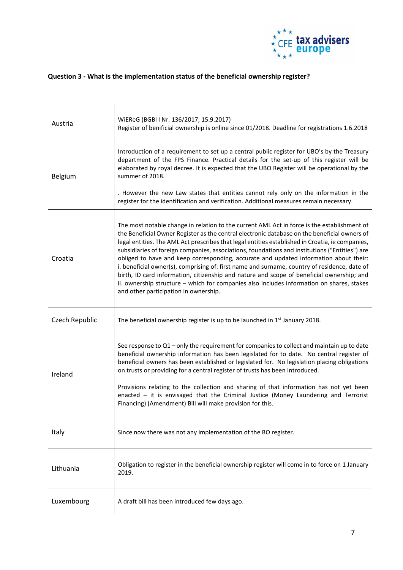

## **Question 3 - What is the implementation status of the beneficial ownership register?**

| Austria        | WIEReG (BGBI I Nr. 136/2017, 15.9.2017)<br>Register of benificial ownership is online since 01/2018. Deadline for registrations 1.6.2018                                                                                                                                                                                                                                                                                                                                                                                                                                                                                                                                                                                                                                                                                      |
|----------------|-------------------------------------------------------------------------------------------------------------------------------------------------------------------------------------------------------------------------------------------------------------------------------------------------------------------------------------------------------------------------------------------------------------------------------------------------------------------------------------------------------------------------------------------------------------------------------------------------------------------------------------------------------------------------------------------------------------------------------------------------------------------------------------------------------------------------------|
| Belgium        | Introduction of a requirement to set up a central public register for UBO's by the Treasury<br>department of the FPS Finance. Practical details for the set-up of this register will be<br>elaborated by royal decree. It is expected that the UBO Register will be operational by the<br>summer of 2018.                                                                                                                                                                                                                                                                                                                                                                                                                                                                                                                     |
|                | . However the new Law states that entities cannot rely only on the information in the<br>register for the identification and verification. Additional measures remain necessary.                                                                                                                                                                                                                                                                                                                                                                                                                                                                                                                                                                                                                                              |
| Croatia        | The most notable change in relation to the current AML Act in force is the establishment of<br>the Beneficial Owner Register as the central electronic database on the beneficial owners of<br>legal entities. The AML Act prescribes that legal entities established in Croatia, ie companies,<br>subsidiaries of foreign companies, associations, foundations and institutions ("Entities") are<br>obliged to have and keep corresponding, accurate and updated information about their:<br>i. beneficial owner(s), comprising of: first name and surname, country of residence, date of<br>birth, ID card information, citizenship and nature and scope of beneficial ownership; and<br>ii. ownership structure - which for companies also includes information on shares, stakes<br>and other participation in ownership. |
| Czech Republic | The beneficial ownership register is up to be launched in 1 <sup>st</sup> January 2018.                                                                                                                                                                                                                                                                                                                                                                                                                                                                                                                                                                                                                                                                                                                                       |
| Ireland        | See response to $Q1$ – only the requirement for companies to collect and maintain up to date<br>beneficial ownership information has been legislated for to date. No central register of<br>beneficial owners has been established or legislated for. No legislation placing obligations<br>on trusts or providing for a central register of trusts has been introduced.<br>Provisions relating to the collection and sharing of that information has not yet been<br>enacted $-$ it is envisaged that the Criminal Justice (Money Laundering and Terrorist<br>Financing) (Amendment) Bill will make provision for this.                                                                                                                                                                                                      |
|                |                                                                                                                                                                                                                                                                                                                                                                                                                                                                                                                                                                                                                                                                                                                                                                                                                               |
| Italy          | Since now there was not any implementation of the BO register.                                                                                                                                                                                                                                                                                                                                                                                                                                                                                                                                                                                                                                                                                                                                                                |
| Lithuania      | Obligation to register in the beneficial ownership register will come in to force on 1 January<br>2019.                                                                                                                                                                                                                                                                                                                                                                                                                                                                                                                                                                                                                                                                                                                       |
| Luxembourg     | A draft bill has been introduced few days ago.                                                                                                                                                                                                                                                                                                                                                                                                                                                                                                                                                                                                                                                                                                                                                                                |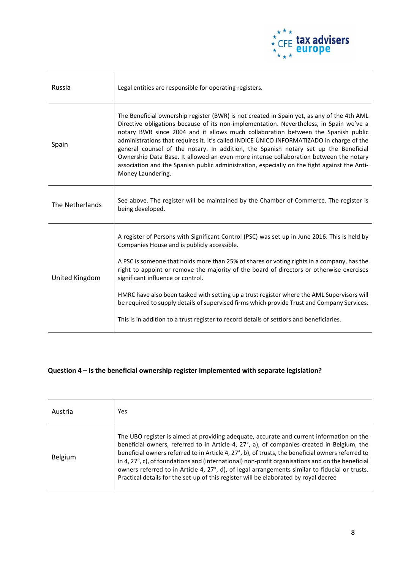

| Russia          | Legal entities are responsible for operating registers.                                                                                                                                                                                                                                                                                                                                                                                                                                                                                                                                                                                                                       |
|-----------------|-------------------------------------------------------------------------------------------------------------------------------------------------------------------------------------------------------------------------------------------------------------------------------------------------------------------------------------------------------------------------------------------------------------------------------------------------------------------------------------------------------------------------------------------------------------------------------------------------------------------------------------------------------------------------------|
| Spain           | The Beneficial ownership register (BWR) is not created in Spain yet, as any of the 4th AML<br>Directive obligations because of its non-implementation. Nevertheless, in Spain we've a<br>notary BWR since 2004 and it allows much collaboration between the Spanish public<br>administrations that requires it. It's called INDICE ÚNICO INFORMATIZADO in charge of the<br>general counsel of the notary. In addition, the Spanish notary set up the Beneficial<br>Ownership Data Base. It allowed an even more intense collaboration between the notary<br>association and the Spanish public administration, especially on the fight against the Anti-<br>Money Laundering. |
| The Netherlands | See above. The register will be maintained by the Chamber of Commerce. The register is<br>being developed.                                                                                                                                                                                                                                                                                                                                                                                                                                                                                                                                                                    |
| United Kingdom  | A register of Persons with Significant Control (PSC) was set up in June 2016. This is held by<br>Companies House and is publicly accessible.<br>A PSC is someone that holds more than 25% of shares or voting rights in a company, has the<br>right to appoint or remove the majority of the board of directors or otherwise exercises<br>significant influence or control.<br>HMRC have also been tasked with setting up a trust register where the AML Supervisors will<br>be required to supply details of supervised firms which provide Trust and Company Services.<br>This is in addition to a trust register to record details of settlors and beneficiaries.          |

## **Question 4 – Is the beneficial ownership register implemented with separate legislation?**

| Austria | Yes                                                                                                                                                                                                                                                                                                                                                                                                                                                                                                                                                                                       |
|---------|-------------------------------------------------------------------------------------------------------------------------------------------------------------------------------------------------------------------------------------------------------------------------------------------------------------------------------------------------------------------------------------------------------------------------------------------------------------------------------------------------------------------------------------------------------------------------------------------|
| Belgium | The UBO register is aimed at providing adequate, accurate and current information on the<br>beneficial owners, referred to in Article 4, 27°, a), of companies created in Belgium, the<br>beneficial owners referred to in Article 4, 27°, b), of trusts, the beneficial owners referred to<br>in 4, 27°, c), of foundations and (international) non-profit organisations and on the beneficial<br>owners referred to in Article 4, 27°, d), of legal arrangements similar to fiducial or trusts.<br>Practical details for the set-up of this register will be elaborated by royal decree |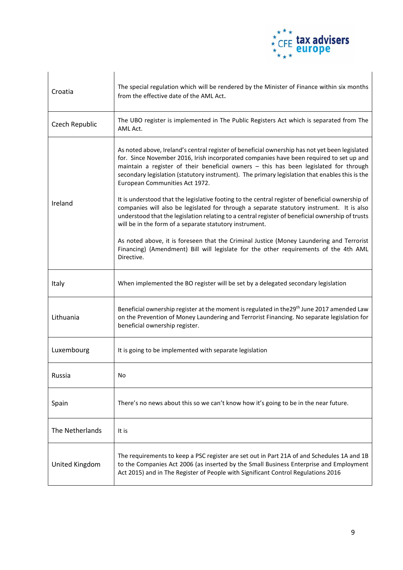

| Croatia         | The special regulation which will be rendered by the Minister of Finance within six months<br>from the effective date of the AML Act.                                                                                                                                                                                                                                                                                  |
|-----------------|------------------------------------------------------------------------------------------------------------------------------------------------------------------------------------------------------------------------------------------------------------------------------------------------------------------------------------------------------------------------------------------------------------------------|
| Czech Republic  | The UBO register is implemented in The Public Registers Act which is separated from The<br>AML Act.                                                                                                                                                                                                                                                                                                                    |
|                 | As noted above, Ireland's central register of beneficial ownership has not yet been legislated<br>for. Since November 2016, Irish incorporated companies have been required to set up and<br>maintain a register of their beneficial owners - this has been legislated for through<br>secondary legislation (statutory instrument). The primary legislation that enables this is the<br>European Communities Act 1972. |
| Ireland         | It is understood that the legislative footing to the central register of beneficial ownership of<br>companies will also be legislated for through a separate statutory instrument. It is also<br>understood that the legislation relating to a central register of beneficial ownership of trusts<br>will be in the form of a separate statutory instrument.                                                           |
|                 | As noted above, it is foreseen that the Criminal Justice (Money Laundering and Terrorist<br>Financing) (Amendment) Bill will legislate for the other requirements of the 4th AML<br>Directive.                                                                                                                                                                                                                         |
| Italy           | When implemented the BO register will be set by a delegated secondary legislation                                                                                                                                                                                                                                                                                                                                      |
| Lithuania       | Beneficial ownership register at the moment is regulated in the 29 <sup>th</sup> June 2017 amended Law<br>on the Prevention of Money Laundering and Terrorist Financing. No separate legislation for<br>beneficial ownership register.                                                                                                                                                                                 |
| Luxembourg      | It is going to be implemented with separate legislation                                                                                                                                                                                                                                                                                                                                                                |
| Russia          | No                                                                                                                                                                                                                                                                                                                                                                                                                     |
| Spain           | There's no news about this so we can't know how it's going to be in the near future.                                                                                                                                                                                                                                                                                                                                   |
| The Netherlands | It is                                                                                                                                                                                                                                                                                                                                                                                                                  |
| United Kingdom  | The requirements to keep a PSC register are set out in Part 21A of and Schedules 1A and 1B<br>to the Companies Act 2006 (as inserted by the Small Business Enterprise and Employment<br>Act 2015) and in The Register of People with Significant Control Regulations 2016                                                                                                                                              |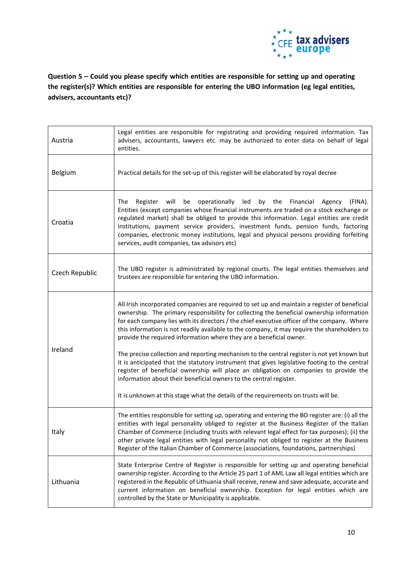

**Question 5 – Could you please specify which entities are responsible for setting up and operating the register(s)? Which entities are responsible for entering the UBO information (eg legal entities, advisers, accountants etc)?**

| Austria        | Legal entities are responsible for registrating and providing required information. Tax<br>advisers, accountants, lawyers etc. may be authorized to enter data on behalf of legal<br>entities.                                                                                                                                                                                                                                                                                                                                                                                                                                                                                                                                                                                                                                   |
|----------------|----------------------------------------------------------------------------------------------------------------------------------------------------------------------------------------------------------------------------------------------------------------------------------------------------------------------------------------------------------------------------------------------------------------------------------------------------------------------------------------------------------------------------------------------------------------------------------------------------------------------------------------------------------------------------------------------------------------------------------------------------------------------------------------------------------------------------------|
| Belgium        | Practical details for the set-up of this register will be elaborated by royal decree                                                                                                                                                                                                                                                                                                                                                                                                                                                                                                                                                                                                                                                                                                                                             |
| Croatia        | operationally<br>by the<br>(FINA).<br><b>The</b><br>Register will<br>be<br>led<br>Financial<br>Agency<br>Entities (except companies whose financial instruments are traded on a stock exchange or<br>regulated market) shall be obliged to provide this information. Legal entities are credit<br>institutions, payment service providers, investment funds, pension funds, factoring<br>companies, electronic money institutions, legal and physical persons providing forfeiting<br>services, audit companies, tax advisors etc)                                                                                                                                                                                                                                                                                               |
| Czech Republic | The UBO register is administrated by regional courts. The legal entities themselves and<br>trustees are responsible for entering the UBO information.                                                                                                                                                                                                                                                                                                                                                                                                                                                                                                                                                                                                                                                                            |
| Ireland        | All Irish incorporated companies are required to set up and maintain a register of beneficial<br>ownership. The primary responsibility for collecting the beneficial ownership information<br>for each company lies with its directors / the chief executive officer of the company. Where<br>this information is not readily available to the company, it may require the shareholders to<br>provide the required information where they are a beneficial owner.<br>The precise collection and reporting mechanism to the central register is not yet known but<br>it is anticipated that the statutory instrument that gives legislative footing to the central<br>register of beneficial ownership will place an obligation on companies to provide the<br>information about their beneficial owners to the central register. |
|                | It is unknown at this stage what the details of the requirements on trusts will be.                                                                                                                                                                                                                                                                                                                                                                                                                                                                                                                                                                                                                                                                                                                                              |
| Italy          | The entities responsible for setting up, operating and entering the BO register are: (i) all the<br>entities with legal personality obliged to register at the Business Register of the Italian<br>Chamber of Commerce (including trusts with relevant legal effect for tax purposes); (ii) the<br>other private legal entities with legal personality not obliged to register at the Business<br>Register of the Italian Chamber of Commerce (associations, foundations, partnerships)                                                                                                                                                                                                                                                                                                                                          |
| Lithuania      | State Enterprise Centre of Register is responsible for setting up and operating beneficial<br>ownership register. According to the Article 25 part 1 of AML Law all legal entities which are<br>registered in the Republic of Lithuania shall receive, renew and save adequate, accurate and<br>current information on beneficial ownership. Exception for legal entities which are<br>controlled by the State or Municipality is applicable.                                                                                                                                                                                                                                                                                                                                                                                    |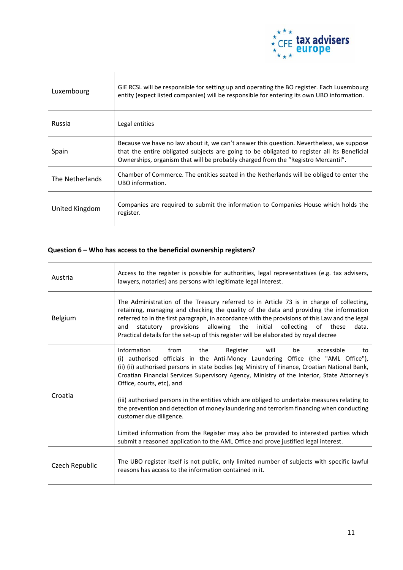

| Luxembourg      | GIE RCSL will be responsible for setting up and operating the BO register. Each Luxembourg<br>entity (expect listed companies) will be responsible for entering its own UBO information.                                                                                     |
|-----------------|------------------------------------------------------------------------------------------------------------------------------------------------------------------------------------------------------------------------------------------------------------------------------|
| Russia          | Legal entities                                                                                                                                                                                                                                                               |
| Spain           | Because we have no law about it, we can't answer this question. Nevertheless, we suppose<br>that the entire obligated subjects are going to be obligated to register all its Beneficial<br>Ownerships, organism that will be probably charged from the "Registro Mercantil". |
| The Netherlands | Chamber of Commerce. The entities seated in the Netherlands will be obliged to enter the<br>UBO information.                                                                                                                                                                 |
| United Kingdom  | Companies are required to submit the information to Companies House which holds the<br>register.                                                                                                                                                                             |

## **Question 6 – Who has access to the beneficial ownership registers?**

| Austria        | Access to the register is possible for authorities, legal representatives (e.g. tax advisers,<br>lawyers, notaries) ans persons with legitimate legal interest.                                                                                                                                                                                                                                                                                                            |
|----------------|----------------------------------------------------------------------------------------------------------------------------------------------------------------------------------------------------------------------------------------------------------------------------------------------------------------------------------------------------------------------------------------------------------------------------------------------------------------------------|
| <b>Belgium</b> | The Administration of the Treasury referred to in Article 73 is in charge of collecting,<br>retaining, managing and checking the quality of the data and providing the information<br>referred to in the first paragraph, in accordance with the provisions of this Law and the legal<br>allowing the<br>initial<br>statutory provisions<br>collecting<br>of these<br>data.<br>and<br>Practical details for the set-up of this register will be elaborated by royal decree |
| Croatia        | Information<br>from<br>the<br>Register<br>will<br>be<br>accessible<br>to<br>(i) authorised officials in the Anti-Money Laundering Office (the "AML Office"),<br>(ii) (ii) authorised persons in state bodies (eg Ministry of Finance, Croatian National Bank,<br>Croatian Financial Services Supervisory Agency, Ministry of the Interior, State Attorney's<br>Office, courts, etc), and                                                                                   |
|                | (iii) authorised persons in the entities which are obliged to undertake measures relating to<br>the prevention and detection of money laundering and terrorism financing when conducting<br>customer due diligence.                                                                                                                                                                                                                                                        |
|                | Limited information from the Register may also be provided to interested parties which<br>submit a reasoned application to the AML Office and prove justified legal interest.                                                                                                                                                                                                                                                                                              |
| Czech Republic | The UBO register itself is not public, only limited number of subjects with specific lawful<br>reasons has access to the information contained in it.                                                                                                                                                                                                                                                                                                                      |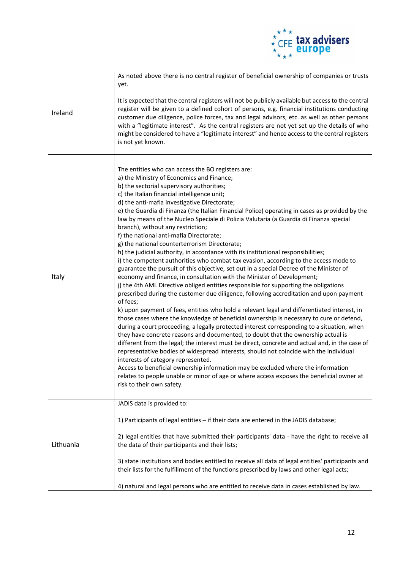

|           | As noted above there is no central register of beneficial ownership of companies or trusts<br>yet.                                                                                                                                                                                                                                                                                                                                                                                                                                                                                                                                                                                                                                                                                                                                                                                                                                                                                                                                                                                                                                                                                                                                                                                                                                                                                                                                                                                                                                                                                                                                                                                                                                                                                                                                                                                                                                                 |
|-----------|----------------------------------------------------------------------------------------------------------------------------------------------------------------------------------------------------------------------------------------------------------------------------------------------------------------------------------------------------------------------------------------------------------------------------------------------------------------------------------------------------------------------------------------------------------------------------------------------------------------------------------------------------------------------------------------------------------------------------------------------------------------------------------------------------------------------------------------------------------------------------------------------------------------------------------------------------------------------------------------------------------------------------------------------------------------------------------------------------------------------------------------------------------------------------------------------------------------------------------------------------------------------------------------------------------------------------------------------------------------------------------------------------------------------------------------------------------------------------------------------------------------------------------------------------------------------------------------------------------------------------------------------------------------------------------------------------------------------------------------------------------------------------------------------------------------------------------------------------------------------------------------------------------------------------------------------------|
| Ireland   | It is expected that the central registers will not be publicly available but access to the central<br>register will be given to a defined cohort of persons, e.g. financial institutions conducting<br>customer due diligence, police forces, tax and legal advisors, etc. as well as other persons<br>with a "legitimate interest". As the central registers are not yet set up the details of who<br>might be considered to have a "legitimate interest" and hence access to the central registers<br>is not yet known.                                                                                                                                                                                                                                                                                                                                                                                                                                                                                                                                                                                                                                                                                                                                                                                                                                                                                                                                                                                                                                                                                                                                                                                                                                                                                                                                                                                                                          |
| Italy     | The entities who can access the BO registers are:<br>a) the Ministry of Economics and Finance;<br>b) the sectorial supervisory authorities;<br>c) the Italian financial intelligence unit;<br>d) the anti-mafia investigative Directorate;<br>e) the Guardia di Finanza (the Italian Financial Police) operating in cases as provided by the<br>law by means of the Nucleo Speciale di Polizia Valutaria (a Guardia di Finanza special<br>branch), without any restriction;<br>f) the national anti-mafia Directorate;<br>g) the national counterterrorism Directorate;<br>h) the judicial authority, in accordance with its institutional responsibilities;<br>i) the competent authorities who combat tax evasion, according to the access mode to<br>guarantee the pursuit of this objective, set out in a special Decree of the Minister of<br>economy and finance, in consultation with the Minister of Development;<br>j) the 4th AML Directive obliged entities responsible for supporting the obligations<br>prescribed during the customer due diligence, following accreditation and upon payment<br>of fees;<br>k) upon payment of fees, entities who hold a relevant legal and differentiated interest, in<br>those cases where the knowledge of beneficial ownership is necessary to cure or defend,<br>during a court proceeding, a legally protected interest corresponding to a situation, when<br>they have concrete reasons and documented, to doubt that the ownership actual is<br>different from the legal; the interest must be direct, concrete and actual and, in the case of<br>representative bodies of widespread interests, should not coincide with the individual<br>interests of category represented.<br>Access to beneficial ownership information may be excluded where the information<br>relates to people unable or minor of age or where access exposes the beneficial owner at<br>risk to their own safety. |
|           | JADIS data is provided to:                                                                                                                                                                                                                                                                                                                                                                                                                                                                                                                                                                                                                                                                                                                                                                                                                                                                                                                                                                                                                                                                                                                                                                                                                                                                                                                                                                                                                                                                                                                                                                                                                                                                                                                                                                                                                                                                                                                         |
| Lithuania | 1) Participants of legal entities - if their data are entered in the JADIS database;                                                                                                                                                                                                                                                                                                                                                                                                                                                                                                                                                                                                                                                                                                                                                                                                                                                                                                                                                                                                                                                                                                                                                                                                                                                                                                                                                                                                                                                                                                                                                                                                                                                                                                                                                                                                                                                               |
|           | 2) legal entities that have submitted their participants' data - have the right to receive all<br>the data of their participants and their lists;                                                                                                                                                                                                                                                                                                                                                                                                                                                                                                                                                                                                                                                                                                                                                                                                                                                                                                                                                                                                                                                                                                                                                                                                                                                                                                                                                                                                                                                                                                                                                                                                                                                                                                                                                                                                  |
|           | 3) state institutions and bodies entitled to receive all data of legal entities' participants and<br>their lists for the fulfillment of the functions prescribed by laws and other legal acts;                                                                                                                                                                                                                                                                                                                                                                                                                                                                                                                                                                                                                                                                                                                                                                                                                                                                                                                                                                                                                                                                                                                                                                                                                                                                                                                                                                                                                                                                                                                                                                                                                                                                                                                                                     |
|           | 4) natural and legal persons who are entitled to receive data in cases established by law.                                                                                                                                                                                                                                                                                                                                                                                                                                                                                                                                                                                                                                                                                                                                                                                                                                                                                                                                                                                                                                                                                                                                                                                                                                                                                                                                                                                                                                                                                                                                                                                                                                                                                                                                                                                                                                                         |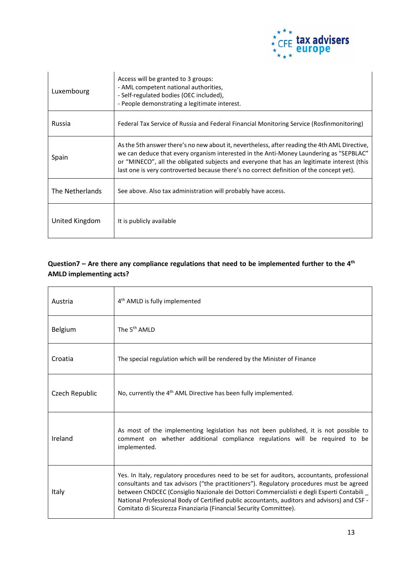

| Luxembourg      | Access will be granted to 3 groups:<br>- AML competent national authorities,<br>- Self-regulated bodies (OEC included),<br>- People demonstrating a legitimate interest.                                                                                                                                                                                                          |
|-----------------|-----------------------------------------------------------------------------------------------------------------------------------------------------------------------------------------------------------------------------------------------------------------------------------------------------------------------------------------------------------------------------------|
| Russia          | Federal Tax Service of Russia and Federal Financial Monitoring Service (Rosfinmonitoring)                                                                                                                                                                                                                                                                                         |
| Spain           | As the 5th answer there's no new about it, nevertheless, after reading the 4th AML Directive,<br>we can deduce that every organism interested in the Anti-Money Laundering as "SEPBLAC"<br>or "MINECO", all the obligated subjects and everyone that has an legitimate interest (this<br>last one is very controverted because there's no correct definition of the concept yet). |
| The Netherlands | See above. Also tax administration will probably have access.                                                                                                                                                                                                                                                                                                                     |
| United Kingdom  | It is publicly available                                                                                                                                                                                                                                                                                                                                                          |

## **Question7 – Are there any compliance regulations that need to be implemented further to the 4th AMLD implementing acts?**

| Austria        | 4 <sup>th</sup> AMLD is fully implemented                                                                                                                                                                                                                                                                                                                                                                                                                |
|----------------|----------------------------------------------------------------------------------------------------------------------------------------------------------------------------------------------------------------------------------------------------------------------------------------------------------------------------------------------------------------------------------------------------------------------------------------------------------|
| <b>Belgium</b> | The 5 <sup>th</sup> AMLD                                                                                                                                                                                                                                                                                                                                                                                                                                 |
| Croatia        | The special regulation which will be rendered by the Minister of Finance                                                                                                                                                                                                                                                                                                                                                                                 |
| Czech Republic | No, currently the 4 <sup>th</sup> AML Directive has been fully implemented.                                                                                                                                                                                                                                                                                                                                                                              |
| Ireland        | As most of the implementing legislation has not been published, it is not possible to<br>comment on whether additional compliance regulations will be required to be<br>implemented.                                                                                                                                                                                                                                                                     |
| Italy          | Yes. In Italy, regulatory procedures need to be set for auditors, accountants, professional<br>consultants and tax advisors ("the practitioners"). Regulatory procedures must be agreed<br>between CNDCEC (Consiglio Nazionale dei Dottori Commercialisti e degli Esperti Contabili<br>National Professional Body of Certified public accountants, auditors and advisors) and CSF -<br>Comitato di Sicurezza Finanziaria (Financial Security Committee). |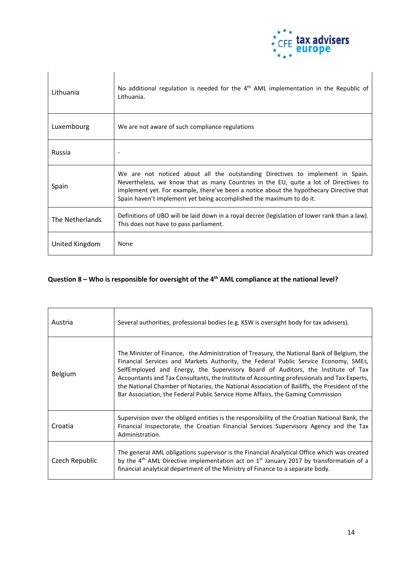

| Lithuania       | No additional regulation is needed for the $4th$ AML implementation in the Republic of<br>Lithuania.                                                                                                                                                                                                                                      |
|-----------------|-------------------------------------------------------------------------------------------------------------------------------------------------------------------------------------------------------------------------------------------------------------------------------------------------------------------------------------------|
| Luxembourg      | We are not aware of such compliance regulations                                                                                                                                                                                                                                                                                           |
| Russia          |                                                                                                                                                                                                                                                                                                                                           |
| Spain           | We are not noticed about all the outstanding Directives to implement in Spain.<br>Nevertheless, we know that as many Countries in the EU, quite a lot of Directives to<br>implement yet. For example, there've been a notice about the hypothecary Directive that<br>Spain haven't implement yet being accomplished the maximum to do it. |
| The Netherlands | Definitions of UBO will be laid down in a royal decree (legislation of lower rank than a law).<br>This does not have to pass parliament.                                                                                                                                                                                                  |
| United Kingdom  | None                                                                                                                                                                                                                                                                                                                                      |

## **Question 8 – Who is responsible for oversight of the 4th AML compliance at the national level?**

| Austria        | Several authorities, professional bodies (e.g. KSW is oversight body for tax advisers).                                                                                                                                                                                                                                                                                                                                                                                                                                                                 |
|----------------|---------------------------------------------------------------------------------------------------------------------------------------------------------------------------------------------------------------------------------------------------------------------------------------------------------------------------------------------------------------------------------------------------------------------------------------------------------------------------------------------------------------------------------------------------------|
| Belgium        | The Minister of Finance, the Administration of Treasury, the National Bank of Belgium, the<br>Financial Services and Markets Authority, the Federal Public Service Economy, SMEs,<br>SelfEmployed and Energy, the Supervisory Board of Auditors, the Institute of Tax<br>Accountants and Tax Consultants, the Institute of Accounting professionals and Tax Experts,<br>the National Chamber of Notaries, the National Association of Bailiffs, the President of the<br>Bar Association, the Federal Public Service Home Affairs, the Gaming Commission |
| Croatia        | Supervision over the obliged entities is the responsibility of the Croatian National Bank, the<br>Financial Inspectorate, the Croatian Financial Services Supervisory Agency and the Tax<br>Administration.                                                                                                                                                                                                                                                                                                                                             |
| Czech Republic | The general AML obligations supervisor is the Financial Analytical Office which was created<br>by the $4^{\text{th}}$ AML Directive implementation act on $1^{\text{st}}$ January 2017 by transformation of a<br>financial analytical department of the Ministry of Finance to a separate body.                                                                                                                                                                                                                                                         |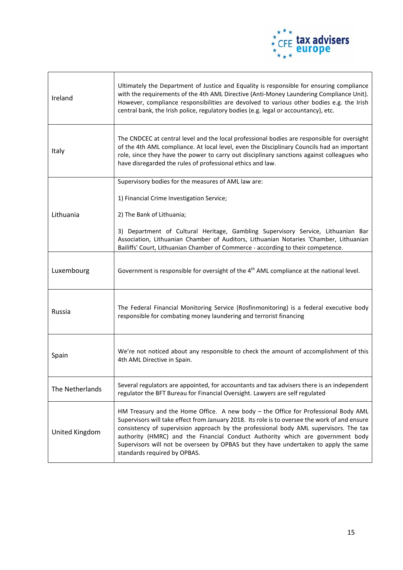

| Ireland         | Ultimately the Department of Justice and Equality is responsible for ensuring compliance<br>with the requirements of the 4th AML Directive (Anti-Money Laundering Compliance Unit).<br>However, compliance responsibilities are devolved to various other bodies e.g. the Irish<br>central bank, the Irish police, regulatory bodies (e.g. legal or accountancy), etc.                                                                                                                 |
|-----------------|----------------------------------------------------------------------------------------------------------------------------------------------------------------------------------------------------------------------------------------------------------------------------------------------------------------------------------------------------------------------------------------------------------------------------------------------------------------------------------------|
| Italy           | The CNDCEC at central level and the local professional bodies are responsible for oversight<br>of the 4th AML compliance. At local level, even the Disciplinary Councils had an important<br>role, since they have the power to carry out disciplinary sanctions against colleagues who<br>have disregarded the rules of professional ethics and law.                                                                                                                                  |
|                 | Supervisory bodies for the measures of AML law are:                                                                                                                                                                                                                                                                                                                                                                                                                                    |
|                 | 1) Financial Crime Investigation Service;                                                                                                                                                                                                                                                                                                                                                                                                                                              |
| Lithuania       | 2) The Bank of Lithuania;                                                                                                                                                                                                                                                                                                                                                                                                                                                              |
|                 | 3) Department of Cultural Heritage, Gambling Supervisory Service, Lithuanian Bar<br>Association, Lithuanian Chamber of Auditors, Lithuanian Notaries 'Chamber, Lithuanian<br>Bailiffs' Court, Lithuanian Chamber of Commerce - according to their competence.                                                                                                                                                                                                                          |
| Luxembourg      | Government is responsible for oversight of the 4 <sup>th</sup> AML compliance at the national level.                                                                                                                                                                                                                                                                                                                                                                                   |
| Russia          | The Federal Financial Monitoring Service (Rosfinmonitoring) is a federal executive body<br>responsible for combating money laundering and terrorist financing                                                                                                                                                                                                                                                                                                                          |
| Spain           | We're not noticed about any responsible to check the amount of accomplishment of this<br>4th AML Directive in Spain.                                                                                                                                                                                                                                                                                                                                                                   |
| The Netherlands | Several regulators are appointed, for accountants and tax advisers there is an independent<br>regulator the BFT Bureau for Financial Oversight. Lawyers are self regulated                                                                                                                                                                                                                                                                                                             |
| United Kingdom  | HM Treasury and the Home Office. A new body - the Office for Professional Body AML<br>Supervisors will take effect from January 2018. Its role is to oversee the work of and ensure<br>consistency of supervision approach by the professional body AML supervisors. The tax<br>authority (HMRC) and the Financial Conduct Authority which are government body<br>Supervisors will not be overseen by OPBAS but they have undertaken to apply the same<br>standards required by OPBAS. |

 $\mathbf{r}$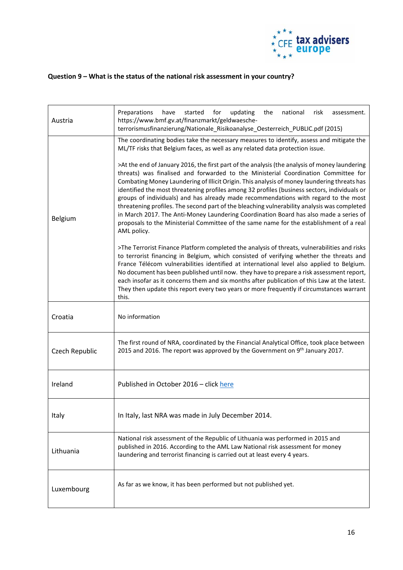

## **Question 9 – What is the status of the national risk assessment in your country?**

| Austria        | Preparations<br>have<br>started<br>for<br>updating<br>the<br>national<br>risk<br>assessment.<br>https://www.bmf.gv.at/finanzmarkt/geldwaesche-<br>terrorismusfinanzierung/Nationale_Risikoanalyse_Oesterreich_PUBLIC.pdf (2015)                                                                                                                                                                                                                                                                                                                                                                                                                                                                                                                                             |
|----------------|-----------------------------------------------------------------------------------------------------------------------------------------------------------------------------------------------------------------------------------------------------------------------------------------------------------------------------------------------------------------------------------------------------------------------------------------------------------------------------------------------------------------------------------------------------------------------------------------------------------------------------------------------------------------------------------------------------------------------------------------------------------------------------|
| Belgium        | The coordinating bodies take the necessary measures to identify, assess and mitigate the<br>ML/TF risks that Belgium faces, as well as any related data protection issue.                                                                                                                                                                                                                                                                                                                                                                                                                                                                                                                                                                                                   |
|                | >At the end of January 2016, the first part of the analysis (the analysis of money laundering<br>threats) was finalised and forwarded to the Ministerial Coordination Committee for<br>Combating Money Laundering of Illicit Origin. This analysis of money laundering threats has<br>identified the most threatening profiles among 32 profiles (business sectors, individuals or<br>groups of individuals) and has already made recommendations with regard to the most<br>threatening profiles. The second part of the bleaching vulnerability analysis was completed<br>in March 2017. The Anti-Money Laundering Coordination Board has also made a series of<br>proposals to the Ministerial Committee of the same name for the establishment of a real<br>AML policy. |
|                | >The Terrorist Finance Platform completed the analysis of threats, vulnerabilities and risks<br>to terrorist financing in Belgium, which consisted of verifying whether the threats and<br>France Télécom vulnerabilities identified at international level also applied to Belgium.<br>No document has been published until now. they have to prepare a risk assessment report,<br>each insofar as it concerns them and six months after publication of this Law at the latest.<br>They then update this report every two years or more frequently if circumstances warrant<br>this.                                                                                                                                                                                       |
| Croatia        | No information                                                                                                                                                                                                                                                                                                                                                                                                                                                                                                                                                                                                                                                                                                                                                              |
| Czech Republic | The first round of NRA, coordinated by the Financial Analytical Office, took place between<br>2015 and 2016. The report was approved by the Government on 9th January 2017.                                                                                                                                                                                                                                                                                                                                                                                                                                                                                                                                                                                                 |
| Ireland        | Published in October 2016 - click here                                                                                                                                                                                                                                                                                                                                                                                                                                                                                                                                                                                                                                                                                                                                      |
| Italy          | In Italy, last NRA was made in July December 2014.                                                                                                                                                                                                                                                                                                                                                                                                                                                                                                                                                                                                                                                                                                                          |
| Lithuania      | National risk assessment of the Republic of Lithuania was performed in 2015 and<br>published in 2016. According to the AML Law National risk assessment for money<br>laundering and terrorist financing is carried out at least every 4 years.                                                                                                                                                                                                                                                                                                                                                                                                                                                                                                                              |
| Luxembourg     | As far as we know, it has been performed but not published yet.                                                                                                                                                                                                                                                                                                                                                                                                                                                                                                                                                                                                                                                                                                             |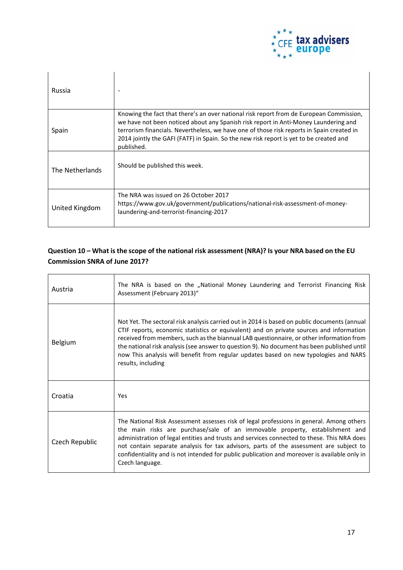

| Russia          |                                                                                                                                                                                                                                                                                                                                                                                     |
|-----------------|-------------------------------------------------------------------------------------------------------------------------------------------------------------------------------------------------------------------------------------------------------------------------------------------------------------------------------------------------------------------------------------|
| Spain           | Knowing the fact that there's an over national risk report from de European Commission,<br>we have not been noticed about any Spanish risk report in Anti-Money Laundering and<br>terrorism financials. Nevertheless, we have one of those risk reports in Spain created in<br>2014 jointly the GAFI (FATF) in Spain. So the new risk report is yet to be created and<br>published. |
| The Netherlands | Should be published this week.                                                                                                                                                                                                                                                                                                                                                      |
| United Kingdom  | The NRA was issued on 26 October 2017<br>https://www.gov.uk/government/publications/national-risk-assessment-of-money-<br>laundering-and-terrorist-financing-2017                                                                                                                                                                                                                   |

### **Question 10 – What is the scope of the national risk assessment (NRA)? Is your NRA based on the EU Commission SNRA of June 2017?**

| Austria        | The NRA is based on the "National Money Laundering and Terrorist Financing Risk<br>Assessment (February 2013)"                                                                                                                                                                                                                                                                                                                                                                                   |
|----------------|--------------------------------------------------------------------------------------------------------------------------------------------------------------------------------------------------------------------------------------------------------------------------------------------------------------------------------------------------------------------------------------------------------------------------------------------------------------------------------------------------|
| Belgium        | Not Yet. The sectoral risk analysis carried out in 2014 is based on public documents (annual<br>CTIF reports, economic statistics or equivalent) and on private sources and information<br>received from members, such as the biannual LAB questionnaire, or other information from<br>the national risk analysis (see answer to question 9). No document has been published until<br>now This analysis will benefit from regular updates based on new typologies and NARS<br>results, including |
| Croatia        | Yes                                                                                                                                                                                                                                                                                                                                                                                                                                                                                              |
| Czech Republic | The National Risk Assessment assesses risk of legal professions in general. Among others<br>the main risks are purchase/sale of an immovable property, establishment and<br>administration of legal entities and trusts and services connected to these. This NRA does<br>not contain separate analysis for tax advisors, parts of the assessment are subject to<br>confidentiality and is not intended for public publication and moreover is available only in<br>Czech language.              |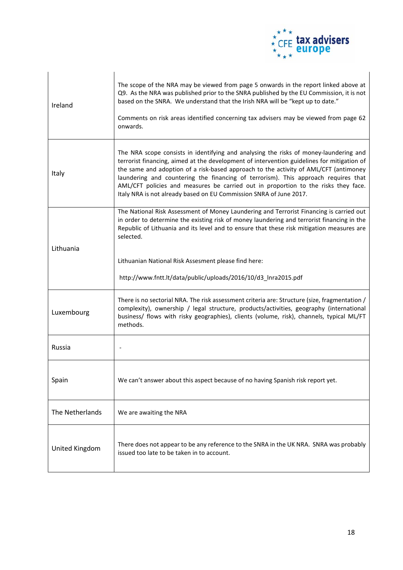

| Ireland         | The scope of the NRA may be viewed from page 5 onwards in the report linked above at<br>Q9. As the NRA was published prior to the SNRA published by the EU Commission, it is not<br>based on the SNRA. We understand that the Irish NRA will be "kept up to date."<br>Comments on risk areas identified concerning tax advisers may be viewed from page 62<br>onwards.                                                                                                                                                        |
|-----------------|-------------------------------------------------------------------------------------------------------------------------------------------------------------------------------------------------------------------------------------------------------------------------------------------------------------------------------------------------------------------------------------------------------------------------------------------------------------------------------------------------------------------------------|
| Italy           | The NRA scope consists in identifying and analysing the risks of money-laundering and<br>terrorist financing, aimed at the development of intervention guidelines for mitigation of<br>the same and adoption of a risk-based approach to the activity of AML/CFT (antimoney<br>laundering and countering the financing of terrorism). This approach requires that<br>AML/CFT policies and measures be carried out in proportion to the risks they face.<br>Italy NRA is not already based on EU Commission SNRA of June 2017. |
| Lithuania       | The National Risk Assessment of Money Laundering and Terrorist Financing is carried out<br>in order to determine the existing risk of money laundering and terrorist financing in the<br>Republic of Lithuania and its level and to ensure that these risk mitigation measures are<br>selected.                                                                                                                                                                                                                               |
|                 | Lithuanian National Risk Assesment please find here:                                                                                                                                                                                                                                                                                                                                                                                                                                                                          |
|                 |                                                                                                                                                                                                                                                                                                                                                                                                                                                                                                                               |
|                 | http://www.fntt.lt/data/public/uploads/2016/10/d3 Inra2015.pdf                                                                                                                                                                                                                                                                                                                                                                                                                                                                |
| Luxembourg      | There is no sectorial NRA. The risk assessment criteria are: Structure (size, fragmentation /<br>complexity), ownership / legal structure, products/activities, geography (international<br>business/ flows with risky geographies), clients (volume, risk), channels, typical ML/FT<br>methods.                                                                                                                                                                                                                              |
| Russia          |                                                                                                                                                                                                                                                                                                                                                                                                                                                                                                                               |
| Spain           | We can't answer about this aspect because of no having Spanish risk report yet.                                                                                                                                                                                                                                                                                                                                                                                                                                               |
| The Netherlands | We are awaiting the NRA                                                                                                                                                                                                                                                                                                                                                                                                                                                                                                       |
| United Kingdom  | There does not appear to be any reference to the SNRA in the UK NRA. SNRA was probably<br>issued too late to be taken in to account.                                                                                                                                                                                                                                                                                                                                                                                          |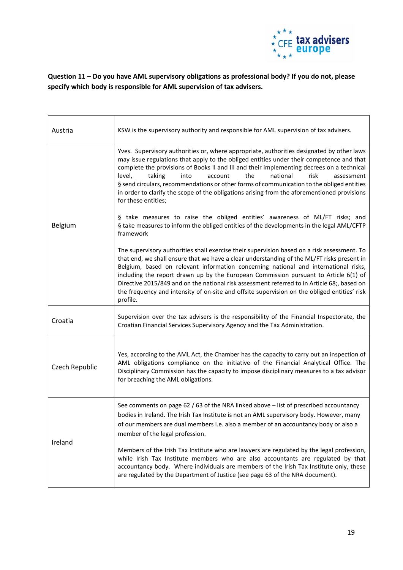

**Question 11 – Do you have AML supervisory obligations as professional body? If you do not, please specify which body is responsible for AML supervision of tax advisers.**

| Austria               | KSW is the supervisory authority and responsible for AML supervision of tax advisers.                                                                                                                                                                                                                                                                                                                                                                                                                                                                                                 |
|-----------------------|---------------------------------------------------------------------------------------------------------------------------------------------------------------------------------------------------------------------------------------------------------------------------------------------------------------------------------------------------------------------------------------------------------------------------------------------------------------------------------------------------------------------------------------------------------------------------------------|
| <b>Belgium</b>        | Yves. Supervisory authorities or, where appropriate, authorities designated by other laws<br>may issue regulations that apply to the obliged entities under their competence and that<br>complete the provisions of Books II and III and their implementing decrees on a technical<br>level,<br>taking<br>the<br>national<br>risk<br>into<br>account<br>assessment<br>§ send circulars, recommendations or other forms of communication to the obliged entities<br>in order to clarify the scope of the obligations arising from the aforementioned provisions<br>for these entities; |
|                       | § take measures to raise the obliged entities' awareness of ML/FT risks; and<br>§ take measures to inform the obliged entities of the developments in the legal AML/CFTP<br>framework                                                                                                                                                                                                                                                                                                                                                                                                 |
|                       | The supervisory authorities shall exercise their supervision based on a risk assessment. To<br>that end, we shall ensure that we have a clear understanding of the ML/FT risks present in<br>Belgium, based on relevant information concerning national and international risks,<br>including the report drawn up by the European Commission pursuant to Article 6(1) of<br>Directive 2015/849 and on the national risk assessment referred to in Article 68;, based on<br>the frequency and intensity of on-site and offsite supervision on the obliged entities' risk<br>profile.   |
| Croatia               | Supervision over the tax advisers is the responsibility of the Financial Inspectorate, the<br>Croatian Financial Services Supervisory Agency and the Tax Administration.                                                                                                                                                                                                                                                                                                                                                                                                              |
| <b>Czech Republic</b> | Yes, according to the AML Act, the Chamber has the capacity to carry out an inspection of<br>AML obligations compliance on the initiative of the Financial Analytical Office. The<br>Disciplinary Commission has the capacity to impose disciplinary measures to a tax advisor<br>for breaching the AML obligations.                                                                                                                                                                                                                                                                  |
| Ireland               | See comments on page 62 / 63 of the NRA linked above – list of prescribed accountancy<br>bodies in Ireland. The Irish Tax Institute is not an AML supervisory body. However, many<br>of our members are dual members i.e. also a member of an accountancy body or also a<br>member of the legal profession.                                                                                                                                                                                                                                                                           |
|                       | Members of the Irish Tax Institute who are lawyers are regulated by the legal profession,<br>while Irish Tax Institute members who are also accountants are regulated by that<br>accountancy body. Where individuals are members of the Irish Tax Institute only, these<br>are regulated by the Department of Justice (see page 63 of the NRA document).                                                                                                                                                                                                                              |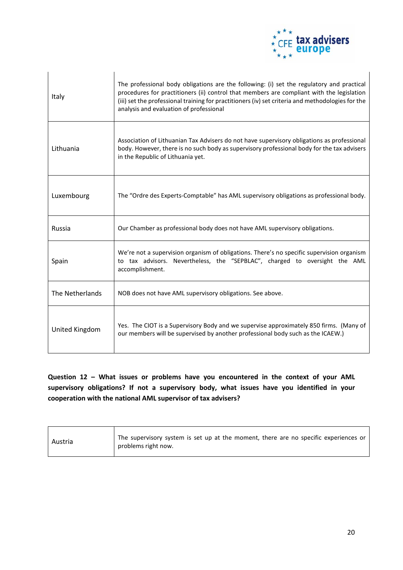

| Italy           | The professional body obligations are the following: (i) set the regulatory and practical<br>procedures for practitioners (ii) control that members are compliant with the legislation<br>(iii) set the professional training for practitioners (iv) set criteria and methodologies for the<br>analysis and evaluation of professional |
|-----------------|----------------------------------------------------------------------------------------------------------------------------------------------------------------------------------------------------------------------------------------------------------------------------------------------------------------------------------------|
| Lithuania       | Association of Lithuanian Tax Advisers do not have supervisory obligations as professional<br>body. However, there is no such body as supervisory professional body for the tax advisers<br>in the Republic of Lithuania yet.                                                                                                          |
| Luxembourg      | The "Ordre des Experts-Comptable" has AML supervisory obligations as professional body.                                                                                                                                                                                                                                                |
| Russia          | Our Chamber as professional body does not have AML supervisory obligations.                                                                                                                                                                                                                                                            |
| Spain           | We're not a supervision organism of obligations. There's no specific supervision organism<br>to tax advisors. Nevertheless, the "SEPBLAC", charged to oversight the AML<br>accomplishment.                                                                                                                                             |
| The Netherlands | NOB does not have AML supervisory obligations. See above.                                                                                                                                                                                                                                                                              |
| United Kingdom  | Yes. The CIOT is a Supervisory Body and we supervise approximately 850 firms. (Many of<br>our members will be supervised by another professional body such as the ICAEW.)                                                                                                                                                              |

**Question 12 – What issues or problems have you encountered in the context of your AML supervisory obligations? If not a supervisory body, what issues have you identified in your cooperation with the national AML supervisor of tax advisers?**

| The supervisory system is set up at the moment, there are no specific experiences or<br>Austria<br>problems right now. |  |
|------------------------------------------------------------------------------------------------------------------------|--|
|------------------------------------------------------------------------------------------------------------------------|--|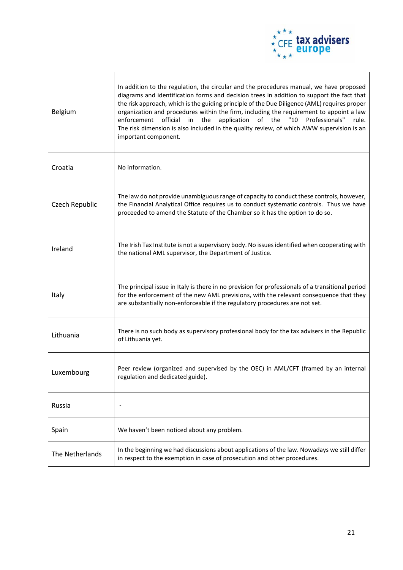

| Belgium         | In addition to the regulation, the circular and the procedures manual, we have proposed<br>diagrams and identification forms and decision trees in addition to support the fact that<br>the risk approach, which is the guiding principle of the Due Diligence (AML) requires proper<br>organization and procedures within the firm, including the requirement to appoint a law<br>enforcement<br>official<br>the<br>application<br>of the<br>Professionals"<br>in<br>"10<br>rule.<br>The risk dimension is also included in the quality review, of which AWW supervision is an<br>important component. |
|-----------------|---------------------------------------------------------------------------------------------------------------------------------------------------------------------------------------------------------------------------------------------------------------------------------------------------------------------------------------------------------------------------------------------------------------------------------------------------------------------------------------------------------------------------------------------------------------------------------------------------------|
| Croatia         | No information.                                                                                                                                                                                                                                                                                                                                                                                                                                                                                                                                                                                         |
| Czech Republic  | The law do not provide unambiguous range of capacity to conduct these controls, however,<br>the Financial Analytical Office requires us to conduct systematic controls. Thus we have<br>proceeded to amend the Statute of the Chamber so it has the option to do so.                                                                                                                                                                                                                                                                                                                                    |
| Ireland         | The Irish Tax Institute is not a supervisory body. No issues identified when cooperating with<br>the national AML supervisor, the Department of Justice.                                                                                                                                                                                                                                                                                                                                                                                                                                                |
| Italy           | The principal issue in Italy is there in no prevision for professionals of a transitional period<br>for the enforcement of the new AML previsions, with the relevant consequence that they<br>are substantially non-enforceable if the regulatory procedures are not set.                                                                                                                                                                                                                                                                                                                               |
| Lithuania       | There is no such body as supervisory professional body for the tax advisers in the Republic<br>of Lithuania yet.                                                                                                                                                                                                                                                                                                                                                                                                                                                                                        |
| Luxembourg      | Peer review (organized and supervised by the OEC) in AML/CFT (framed by an internal<br>regulation and dedicated guide).                                                                                                                                                                                                                                                                                                                                                                                                                                                                                 |
| Russia          |                                                                                                                                                                                                                                                                                                                                                                                                                                                                                                                                                                                                         |
| Spain           | We haven't been noticed about any problem.                                                                                                                                                                                                                                                                                                                                                                                                                                                                                                                                                              |
| The Netherlands | In the beginning we had discussions about applications of the law. Nowadays we still differ<br>in respect to the exemption in case of prosecution and other procedures.                                                                                                                                                                                                                                                                                                                                                                                                                                 |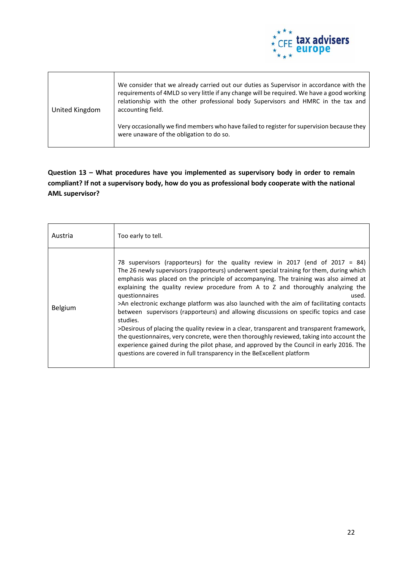

| United Kingdom | We consider that we already carried out our duties as Supervisor in accordance with the<br>requirements of 4MLD so very little if any change will be required. We have a good working<br>relationship with the other professional body Supervisors and HMRC in the tax and<br>accounting field. |
|----------------|-------------------------------------------------------------------------------------------------------------------------------------------------------------------------------------------------------------------------------------------------------------------------------------------------|
|                | Very occasionally we find members who have failed to register for supervision because they<br>were unaware of the obligation to do so.                                                                                                                                                          |

## **Question 13 – What procedures have you implemented as supervisory body in order to remain compliant? If not a supervisory body, how do you as professional body cooperate with the national AML supervisor?**

| Austria        | Too early to tell.                                                                                                                                                                                                                                                                                                                                                                                                                                                                                                                                                                                                                                                                                                                                                                                                                                                                                                                                   |
|----------------|------------------------------------------------------------------------------------------------------------------------------------------------------------------------------------------------------------------------------------------------------------------------------------------------------------------------------------------------------------------------------------------------------------------------------------------------------------------------------------------------------------------------------------------------------------------------------------------------------------------------------------------------------------------------------------------------------------------------------------------------------------------------------------------------------------------------------------------------------------------------------------------------------------------------------------------------------|
| <b>Belgium</b> | 78 supervisors (rapporteurs) for the quality review in 2017 (end of 2017 = 84)<br>The 26 newly supervisors (rapporteurs) underwent special training for them, during which<br>emphasis was placed on the principle of accompanying. The training was also aimed at<br>explaining the quality review procedure from A to Z and thoroughly analyzing the<br>questionnaires<br>used.<br>>An electronic exchange platform was also launched with the aim of facilitating contacts<br>between supervisors (rapporteurs) and allowing discussions on specific topics and case<br>studies.<br>>Desirous of placing the quality review in a clear, transparent and transparent framework,<br>the questionnaires, very concrete, were then thoroughly reviewed, taking into account the<br>experience gained during the pilot phase, and approved by the Council in early 2016. The<br>questions are covered in full transparency in the BeExcellent platform |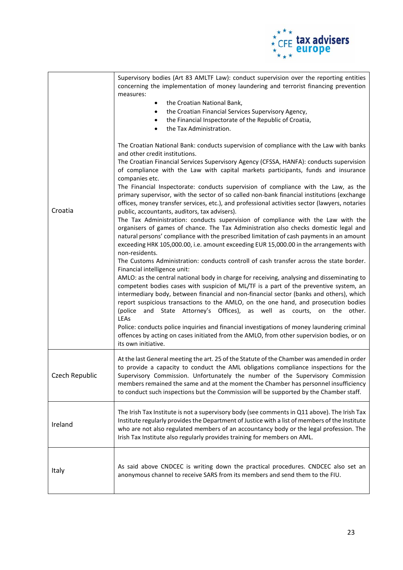

|                | Supervisory bodies (Art 83 AMLTF Law): conduct supervision over the reporting entities<br>concerning the implementation of money laundering and terrorist financing prevention<br>measures:<br>the Croatian National Bank,<br>$\bullet$<br>the Croatian Financial Services Supervisory Agency,<br>٠<br>the Financial Inspectorate of the Republic of Croatia,<br>$\bullet$<br>the Tax Administration.<br>$\bullet$                                                                                                                                                                                                                                                                                                                                                                                                                                                                                                                                                                                                                                                                                                                                                                                                                                                                                                                                                                                                                                                                                                                                                                                                                                                                                                                                                                                                                                               |
|----------------|------------------------------------------------------------------------------------------------------------------------------------------------------------------------------------------------------------------------------------------------------------------------------------------------------------------------------------------------------------------------------------------------------------------------------------------------------------------------------------------------------------------------------------------------------------------------------------------------------------------------------------------------------------------------------------------------------------------------------------------------------------------------------------------------------------------------------------------------------------------------------------------------------------------------------------------------------------------------------------------------------------------------------------------------------------------------------------------------------------------------------------------------------------------------------------------------------------------------------------------------------------------------------------------------------------------------------------------------------------------------------------------------------------------------------------------------------------------------------------------------------------------------------------------------------------------------------------------------------------------------------------------------------------------------------------------------------------------------------------------------------------------------------------------------------------------------------------------------------------------|
| Croatia        | The Croatian National Bank: conducts supervision of compliance with the Law with banks<br>and other credit institutions.<br>The Croatian Financial Services Supervisory Agency (CFSSA, HANFA): conducts supervision<br>of compliance with the Law with capital markets participants, funds and insurance<br>companies etc.<br>The Financial Inspectorate: conducts supervision of compliance with the Law, as the<br>primary supervisor, with the sector of so called non-bank financial institutions (exchange<br>offices, money transfer services, etc.), and professional activities sector (lawyers, notaries<br>public, accountants, auditors, tax advisers).<br>The Tax Administration: conducts supervision of compliance with the Law with the<br>organisers of games of chance. The Tax Administration also checks domestic legal and<br>natural persons' compliance with the prescribed limitation of cash payments in an amount<br>exceeding HRK 105,000.00, i.e. amount exceeding EUR 15,000.00 in the arrangements with<br>non-residents.<br>The Customs Administration: conducts controll of cash transfer across the state border.<br>Financial intelligence unit:<br>AMLO: as the central national body in charge for receiving, analysing and disseminating to<br>competent bodies cases with suspicion of ML/TF is a part of the preventive system, an<br>intermediary body, between financial and non-financial sector (banks and others), which<br>report suspicious transactions to the AMLO, on the one hand, and prosecution bodies<br>(police and State Attorney's Offices), as well as courts, on the other.<br>LEAs<br>Police: conducts police inquiries and financial investigations of money laundering criminal<br>offences by acting on cases initiated from the AMLO, from other supervision bodies, or on<br>its own initiative. |
| Czech Republic | At the last General meeting the art. 25 of the Statute of the Chamber was amended in order<br>to provide a capacity to conduct the AML obligations compliance inspections for the<br>Supervisory Commission. Unfortunately the number of the Supervisory Commission<br>members remained the same and at the moment the Chamber has personnel insufficiency<br>to conduct such inspections but the Commission will be supported by the Chamber staff.                                                                                                                                                                                                                                                                                                                                                                                                                                                                                                                                                                                                                                                                                                                                                                                                                                                                                                                                                                                                                                                                                                                                                                                                                                                                                                                                                                                                             |
| Ireland        | The Irish Tax Institute is not a supervisory body (see comments in Q11 above). The Irish Tax<br>Institute regularly provides the Department of Justice with a list of members of the Institute<br>who are not also regulated members of an accountancy body or the legal profession. The<br>Irish Tax Institute also regularly provides training for members on AML.                                                                                                                                                                                                                                                                                                                                                                                                                                                                                                                                                                                                                                                                                                                                                                                                                                                                                                                                                                                                                                                                                                                                                                                                                                                                                                                                                                                                                                                                                             |
| Italy          | As said above CNDCEC is writing down the practical procedures. CNDCEC also set an<br>anonymous channel to receive SARS from its members and send them to the FIU.                                                                                                                                                                                                                                                                                                                                                                                                                                                                                                                                                                                                                                                                                                                                                                                                                                                                                                                                                                                                                                                                                                                                                                                                                                                                                                                                                                                                                                                                                                                                                                                                                                                                                                |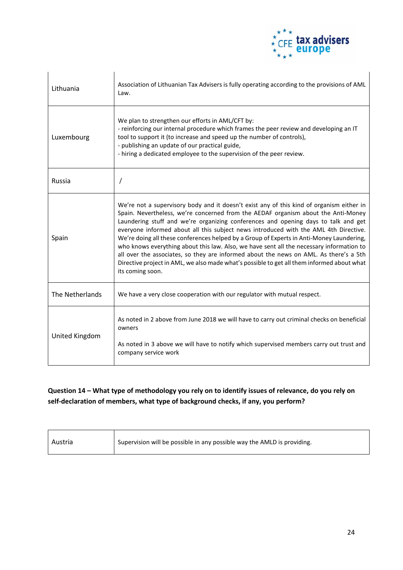

| Lithuania       | Association of Lithuanian Tax Advisers is fully operating according to the provisions of AML<br>Law.                                                                                                                                                                                                                                                                                                                                                                                                                                                                                                                                                                                                                                                           |
|-----------------|----------------------------------------------------------------------------------------------------------------------------------------------------------------------------------------------------------------------------------------------------------------------------------------------------------------------------------------------------------------------------------------------------------------------------------------------------------------------------------------------------------------------------------------------------------------------------------------------------------------------------------------------------------------------------------------------------------------------------------------------------------------|
| Luxembourg      | We plan to strengthen our efforts in AML/CFT by:<br>- reinforcing our internal procedure which frames the peer review and developing an IT<br>tool to support it (to increase and speed up the number of controls),<br>- publishing an update of our practical guide,<br>- hiring a dedicated employee to the supervision of the peer review.                                                                                                                                                                                                                                                                                                                                                                                                                  |
| Russia          | $\prime$                                                                                                                                                                                                                                                                                                                                                                                                                                                                                                                                                                                                                                                                                                                                                       |
| Spain           | We're not a supervisory body and it doesn't exist any of this kind of organism either in<br>Spain. Nevertheless, we're concerned from the AEDAF organism about the Anti-Money<br>Laundering stuff and we're organizing conferences and opening days to talk and get<br>everyone informed about all this subject news introduced with the AML 4th Directive.<br>We're doing all these conferences helped by a Group of Experts in Anti-Money Laundering,<br>who knows everything about this law. Also, we have sent all the necessary information to<br>all over the associates, so they are informed about the news on AML. As there's a 5th<br>Directive project in AML, we also made what's possible to get all them informed about what<br>its coming soon. |
| The Netherlands | We have a very close cooperation with our regulator with mutual respect.                                                                                                                                                                                                                                                                                                                                                                                                                                                                                                                                                                                                                                                                                       |
| United Kingdom  | As noted in 2 above from June 2018 we will have to carry out criminal checks on beneficial<br>owners<br>As noted in 3 above we will have to notify which supervised members carry out trust and<br>company service work                                                                                                                                                                                                                                                                                                                                                                                                                                                                                                                                        |

## **Question 14 – What type of methodology you rely on to identify issues of relevance, do you rely on self-declaration of members, what type of background checks, if any, you perform?**

| Austria | Supervision will be possible in any possible way the AMLD is providing. |
|---------|-------------------------------------------------------------------------|
|         |                                                                         |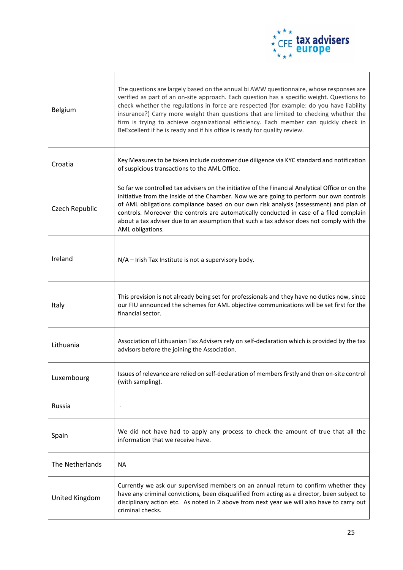

| <b>Belgium</b>  | The questions are largely based on the annual bi AWW questionnaire, whose responses are<br>verified as part of an on-site approach. Each question has a specific weight. Questions to<br>check whether the regulations in force are respected (for example: do you have liability<br>insurance?) Carry more weight than questions that are limited to checking whether the<br>firm is trying to achieve organizational efficiency. Each member can quickly check in<br>BeExcellent if he is ready and if his office is ready for quality review. |
|-----------------|--------------------------------------------------------------------------------------------------------------------------------------------------------------------------------------------------------------------------------------------------------------------------------------------------------------------------------------------------------------------------------------------------------------------------------------------------------------------------------------------------------------------------------------------------|
| Croatia         | Key Measures to be taken include customer due diligence via KYC standard and notification<br>of suspicious transactions to the AML Office.                                                                                                                                                                                                                                                                                                                                                                                                       |
| Czech Republic  | So far we controlled tax advisers on the initiative of the Financial Analytical Office or on the<br>initiative from the inside of the Chamber. Now we are going to perform our own controls<br>of AML obligations compliance based on our own risk analysis (assessment) and plan of<br>controls. Moreover the controls are automatically conducted in case of a filed complain<br>about a tax adviser due to an assumption that such a tax advisor does not comply with the<br>AML obligations.                                                 |
| Ireland         | N/A - Irish Tax Institute is not a supervisory body.                                                                                                                                                                                                                                                                                                                                                                                                                                                                                             |
| Italy           | This prevision is not already being set for professionals and they have no duties now, since<br>our FIU announced the schemes for AML objective communications will be set first for the<br>financial sector.                                                                                                                                                                                                                                                                                                                                    |
| Lithuania       | Association of Lithuanian Tax Advisers rely on self-declaration which is provided by the tax<br>advisors before the joining the Association.                                                                                                                                                                                                                                                                                                                                                                                                     |
| Luxembourg      | Issues of relevance are relied on self-declaration of members firstly and then on-site control<br>(with sampling).                                                                                                                                                                                                                                                                                                                                                                                                                               |
| Russia          |                                                                                                                                                                                                                                                                                                                                                                                                                                                                                                                                                  |
| Spain           | We did not have had to apply any process to check the amount of true that all the<br>information that we receive have.                                                                                                                                                                                                                                                                                                                                                                                                                           |
| The Netherlands | <b>NA</b>                                                                                                                                                                                                                                                                                                                                                                                                                                                                                                                                        |
| United Kingdom  | Currently we ask our supervised members on an annual return to confirm whether they<br>have any criminal convictions, been disqualified from acting as a director, been subject to<br>disciplinary action etc. As noted in 2 above from next year we will also have to carry out<br>criminal checks.                                                                                                                                                                                                                                             |